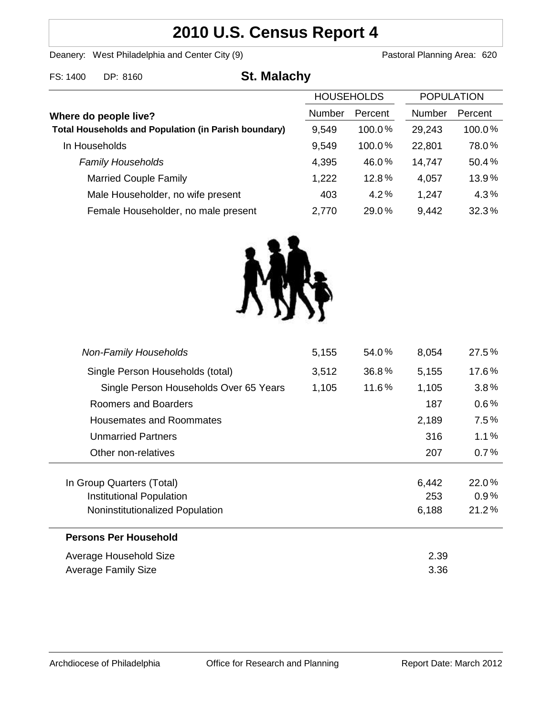# **2010 U.S. Census Report 4**

Deanery: West Philadelphia and Center City (9) Deanery: West Philadelphia and Center City (9)

| FS: 1400<br>DP: 8160 | <b>St. Malachy</b> |
|----------------------|--------------------|
|----------------------|--------------------|

| <b>HOUSEHOLDS</b> |           | <b>POPULATION</b> |           |
|-------------------|-----------|-------------------|-----------|
| <b>Number</b>     | Percent   | Number            | Percent   |
| 9,549             | $100.0\%$ | 29,243            | $100.0\%$ |
| 9,549             | $100.0\%$ | 22,801            | 78.0%     |
| 4,395             | 46.0%     | 14,747            | 50.4%     |
| 1,222             | 12.8%     | 4,057             | 13.9%     |
| 403               | 4.2%      | 1,247             | 4.3%      |
| 2,770             | 29.0%     | 9,442             | 32.3%     |
|                   |           |                   |           |



| <b>Non-Family Households</b>           | 5,155 | 54.0% | 8,054 | 27.5%   |
|----------------------------------------|-------|-------|-------|---------|
| Single Person Households (total)       | 3,512 | 36.8% | 5,155 | 17.6%   |
| Single Person Households Over 65 Years | 1,105 | 11.6% | 1,105 | 3.8%    |
| Roomers and Boarders                   |       |       | 187   | $0.6\%$ |
| Housemates and Roommates               |       |       | 2,189 | 7.5%    |
| <b>Unmarried Partners</b>              |       |       | 316   | 1.1%    |
| Other non-relatives                    |       |       | 207   | 0.7%    |
|                                        |       |       |       |         |
| In Group Quarters (Total)              |       |       | 6,442 | 22.0%   |
| Institutional Population               |       | 253   | 0.9%  |         |
| Noninstitutionalized Population        |       |       | 6,188 | 21.2%   |
| <b>Persons Per Household</b>           |       |       |       |         |
| Average Household Size                 |       |       | 2.39  |         |
| <b>Average Family Size</b>             |       |       | 3.36  |         |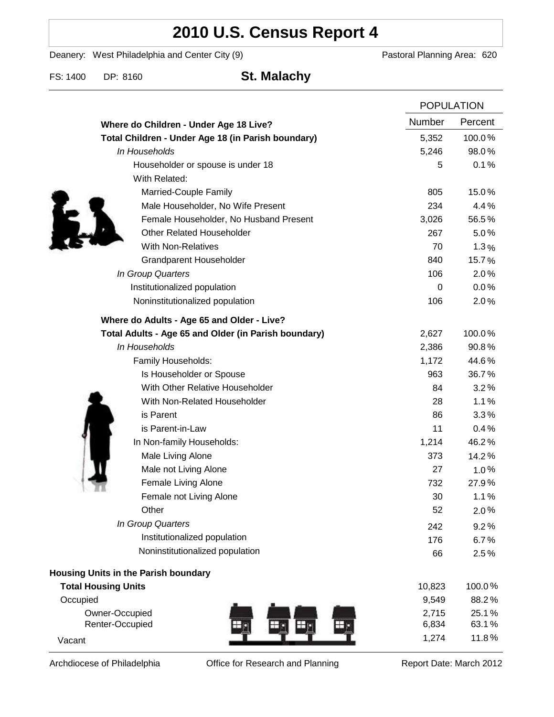# **2010 U.S. Census Report 4**

Deanery: West Philadelphia and Center City (9) Deanery: West Philadelphia and Center City (9)

FS: 1400 DP: 8160 **St. Malachy**

|                                                      |               | <b>POPULATION</b> |  |
|------------------------------------------------------|---------------|-------------------|--|
| Where do Children - Under Age 18 Live?               | <b>Number</b> | Percent           |  |
| Total Children - Under Age 18 (in Parish boundary)   | 5,352         | 100.0%            |  |
| In Households                                        | 5,246         | 98.0%             |  |
| Householder or spouse is under 18                    | 5             | 0.1%              |  |
| With Related:                                        |               |                   |  |
| Married-Couple Family                                | 805           | 15.0%             |  |
| Male Householder, No Wife Present                    | 234           | 4.4%              |  |
| Female Householder, No Husband Present               | 3,026         | 56.5%             |  |
| <b>Other Related Householder</b>                     | 267           | 5.0%              |  |
| <b>With Non-Relatives</b>                            | 70            | 1.3%              |  |
| Grandparent Householder                              | 840           | 15.7%             |  |
| In Group Quarters                                    | 106           | 2.0%              |  |
| Institutionalized population                         | 0             | 0.0%              |  |
| Noninstitutionalized population                      | 106           | 2.0%              |  |
| Where do Adults - Age 65 and Older - Live?           |               |                   |  |
| Total Adults - Age 65 and Older (in Parish boundary) | 2,627         | 100.0%            |  |
| In Households                                        | 2,386         | 90.8%             |  |
| Family Households:                                   | 1,172         | 44.6%             |  |
| Is Householder or Spouse                             | 963           | 36.7%             |  |
| With Other Relative Householder                      | 84            | 3.2%              |  |
| With Non-Related Householder                         | 28            | 1.1%              |  |
| is Parent                                            | 86            | 3.3%              |  |
| is Parent-in-Law                                     | 11            | 0.4%              |  |
| In Non-family Households:                            | 1,214         | 46.2%             |  |
| Male Living Alone                                    | 373           | 14.2%             |  |
| Male not Living Alone                                | 27            | $1.0\%$           |  |
| Female Living Alone                                  | 732           | 27.9%             |  |
| Female not Living Alone                              | 30            | 1.1%              |  |
| Other                                                | 52            | 2.0%              |  |
| In Group Quarters                                    | 242           | 9.2%              |  |
| Institutionalized population                         | 176           | 6.7%              |  |
| Noninstitutionalized population                      | 66            | 2.5%              |  |
| Housing Units in the Parish boundary                 |               |                   |  |
| <b>Total Housing Units</b>                           | 10,823        | 100.0%            |  |
| Occupied                                             | 9,549         | 88.2%             |  |
| Owner-Occupied                                       | 2,715         | 25.1%             |  |
| Renter-Occupied                                      | 6,834         | 63.1%             |  |
| Vacant                                               | 1,274         | 11.8%             |  |

Archdiocese of Philadelphia **Office for Research and Planning** Report Date: March 2012